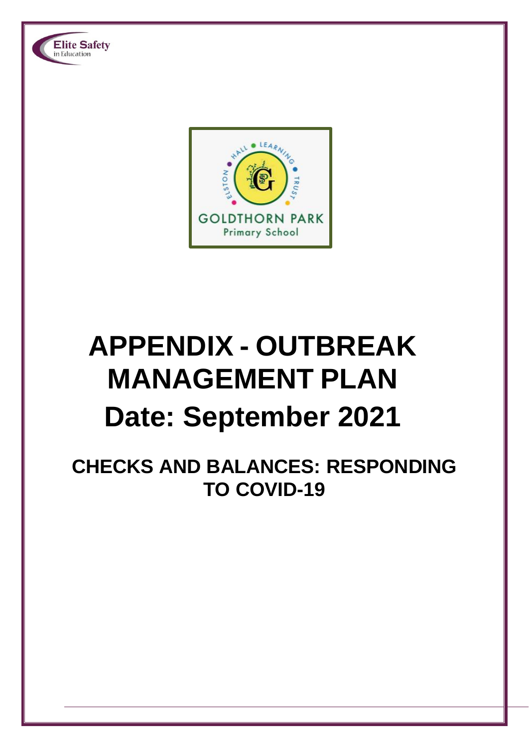

Elite Safety

# **APPENDIX - OUTBREAK MANAGEMENT PLAN Date: September 2021**

**CHECKS AND BALANCES: RESPONDING TO COVID-19**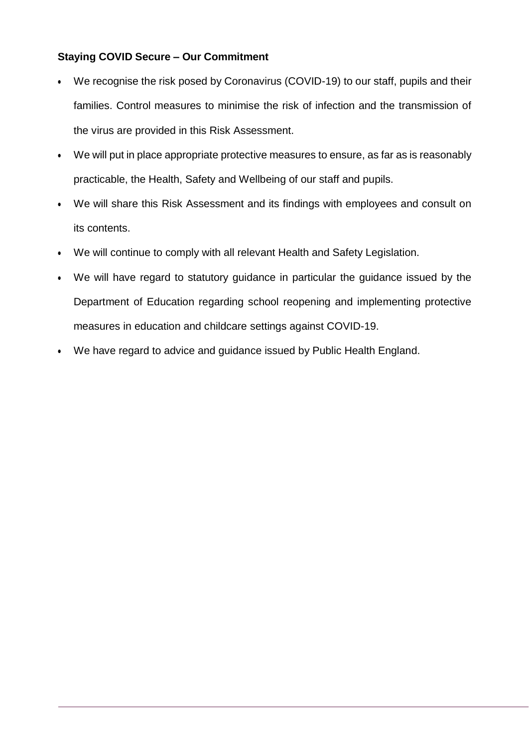## **Staying COVID Secure – Our Commitment**

- We recognise the risk posed by Coronavirus (COVID-19) to our staff, pupils and their families. Control measures to minimise the risk of infection and the transmission of the virus are provided in this Risk Assessment.
- We will put in place appropriate protective measures to ensure, as far as is reasonably practicable, the Health, Safety and Wellbeing of our staff and pupils.
- We will share this Risk Assessment and its findings with employees and consult on its contents.
- We will continue to comply with all relevant Health and Safety Legislation.
- We will have regard to statutory guidance in particular the guidance issued by the Department of Education regarding school reopening and implementing protective measures in education and childcare settings against COVID-19.
- We have regard to advice and guidance issued by Public Health England.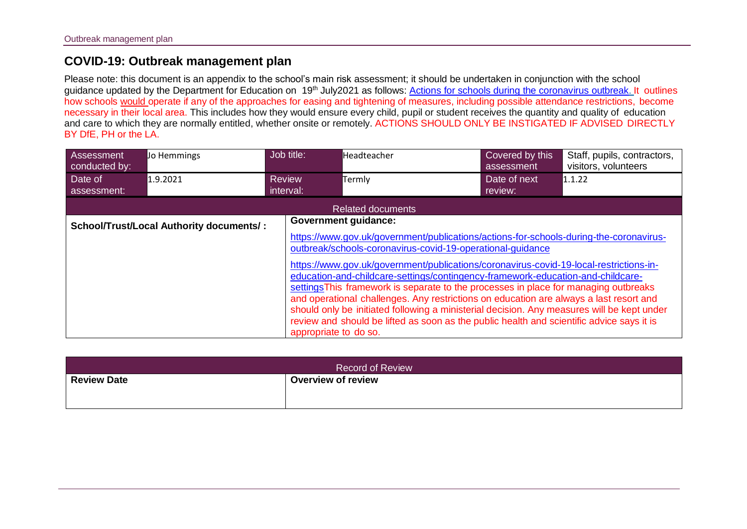# **COVID-19: Outbreak management plan**

Please note: this document is an appendix to the school's main risk assessment; it should be undertaken in conjunction with the school guidance updated by the Department for Education on 19<sup>th</sup> July2021 as follows: [Actions for schools during the coronavirus outbreak.](https://www.gov.uk/government/publications/actions-for-schools-during-the-coronavirus-outbreak) It outlines how schools would operate if any of the approaches for easing and tightening of measures, including possible attendance restrictions, become necessary in their local area. This includes how they would ensure every child, pupil or student receives the quantity and quality of education and care to which they are normally entitled, whether onsite or remotely. ACTIONS SHOULD ONLY BE INSTIGATED IF ADVISED DIRECTLY BY DfE, PH or the LA.

| Assessment<br>conducted by: | Jo Hemmings                              | Job title:                 | Headteacher                                                                                                                                                                                                                                                                                                                                                                                                                                                                                                                                                                                                                                                                                                                                   | Covered by this<br>assessment | Staff, pupils, contractors,<br>visitors, volunteers |
|-----------------------------|------------------------------------------|----------------------------|-----------------------------------------------------------------------------------------------------------------------------------------------------------------------------------------------------------------------------------------------------------------------------------------------------------------------------------------------------------------------------------------------------------------------------------------------------------------------------------------------------------------------------------------------------------------------------------------------------------------------------------------------------------------------------------------------------------------------------------------------|-------------------------------|-----------------------------------------------------|
| Date of<br>assessment:      | 1.9.2021                                 | <b>Review</b><br>interval: | Termly                                                                                                                                                                                                                                                                                                                                                                                                                                                                                                                                                                                                                                                                                                                                        | Date of next<br>review:       | 1.1.22                                              |
|                             |                                          |                            | <b>Related documents</b>                                                                                                                                                                                                                                                                                                                                                                                                                                                                                                                                                                                                                                                                                                                      |                               |                                                     |
|                             | School/Trust/Local Authority documents/: | appropriate to do so.      | <b>Government guidance:</b><br>https://www.gov.uk/government/publications/actions-for-schools-during-the-coronavirus-<br>outbreak/schools-coronavirus-covid-19-operational-quidance<br>https://www.gov.uk/government/publications/coronavirus-covid-19-local-restrictions-in-<br>education-and-childcare-settings/contingency-framework-education-and-childcare-<br>settings This framework is separate to the processes in place for managing outbreaks<br>and operational challenges. Any restrictions on education are always a last resort and<br>should only be initiated following a ministerial decision. Any measures will be kept under<br>review and should be lifted as soon as the public health and scientific advice says it is |                               |                                                     |

| <b>Record of Review</b> |                           |  |  |  |  |
|-------------------------|---------------------------|--|--|--|--|
| <b>Review Date</b>      | <b>Overview of review</b> |  |  |  |  |
|                         |                           |  |  |  |  |
|                         |                           |  |  |  |  |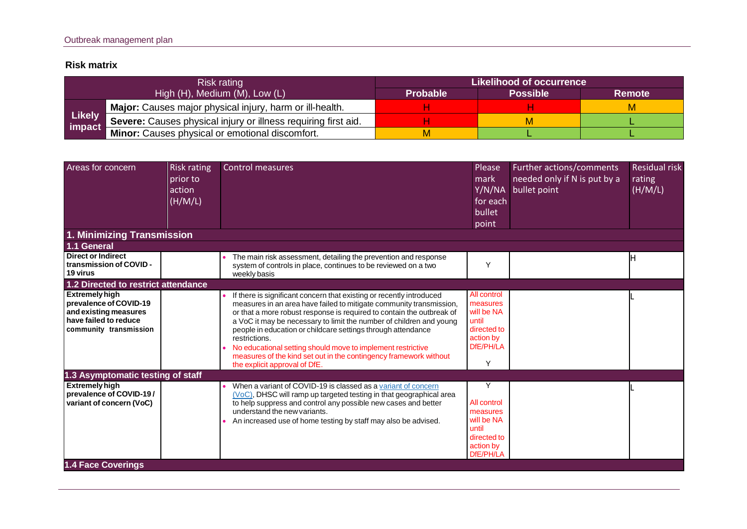## **Risk matrix**

|                         | Risk rating                                                    | Likelihood of occurrence |                 |               |  |  |  |
|-------------------------|----------------------------------------------------------------|--------------------------|-----------------|---------------|--|--|--|
|                         | High (H), Medium (M), Low (L)                                  | <b>Probable</b>          | <b>Possible</b> | <b>Remote</b> |  |  |  |
|                         | Major: Causes major physical injury, harm or ill-health.       |                          |                 | м             |  |  |  |
| <b>Likely</b><br>impact | Severe: Causes physical injury or illness requiring first aid. |                          | м               |               |  |  |  |
|                         | Minor: Causes physical or emotional discomfort.                |                          |                 |               |  |  |  |

| Areas for concern                                                                                                           | <b>Risk rating</b><br>prior to<br>action<br>(H/M/L) | <b>Control measures</b>                                                                                                                                                                                                                                                                                                                                                                                                                                                                                                                           | Please<br>mark<br>Y/N/NA<br>for each<br>bullet<br>point                                      | Further actions/comments<br>needed only if N is put by a<br>bullet point | <b>Residual risk</b><br>rating<br>(H/M/L) |
|-----------------------------------------------------------------------------------------------------------------------------|-----------------------------------------------------|---------------------------------------------------------------------------------------------------------------------------------------------------------------------------------------------------------------------------------------------------------------------------------------------------------------------------------------------------------------------------------------------------------------------------------------------------------------------------------------------------------------------------------------------------|----------------------------------------------------------------------------------------------|--------------------------------------------------------------------------|-------------------------------------------|
| 1. Minimizing Transmission                                                                                                  |                                                     |                                                                                                                                                                                                                                                                                                                                                                                                                                                                                                                                                   |                                                                                              |                                                                          |                                           |
| 1.1 General                                                                                                                 |                                                     |                                                                                                                                                                                                                                                                                                                                                                                                                                                                                                                                                   |                                                                                              |                                                                          |                                           |
| <b>Direct or Indirect</b><br>transmission of COVID -<br>19 virus                                                            |                                                     | The main risk assessment, detailing the prevention and response<br>system of controls in place, continues to be reviewed on a two<br>weekly basis                                                                                                                                                                                                                                                                                                                                                                                                 | Y                                                                                            |                                                                          |                                           |
| 1.2 Directed to restrict attendance                                                                                         |                                                     |                                                                                                                                                                                                                                                                                                                                                                                                                                                                                                                                                   |                                                                                              |                                                                          |                                           |
| <b>Extremely high</b><br>prevalence of COVID-19<br>and existing measures<br>have failed to reduce<br>community transmission |                                                     | If there is significant concern that existing or recently introduced<br>measures in an area have failed to mitigate community transmission,<br>or that a more robust response is required to contain the outbreak of<br>a VoC it may be necessary to limit the number of children and young<br>people in education or childcare settings through attendance<br>restrictions.<br>No educational setting should move to implement restrictive<br>measures of the kind set out in the contingency framework without<br>the explicit approval of DfE. | All control<br>measures<br>will be NA<br>until<br>directed to<br>action by<br>DfE/PH/LA<br>Υ |                                                                          |                                           |
| 1.3 Asymptomatic testing of staff                                                                                           |                                                     |                                                                                                                                                                                                                                                                                                                                                                                                                                                                                                                                                   |                                                                                              |                                                                          |                                           |
| <b>Extremely high</b><br>prevalence of COVID-19/<br>variant of concern (VoC)                                                |                                                     | When a variant of COVID-19 is classed as a variant of concern<br>(VoC), DHSC will ramp up targeted testing in that geographical area<br>to help suppress and control any possible new cases and better<br>understand the new variants.<br>An increased use of home testing by staff may also be advised.                                                                                                                                                                                                                                          | Υ<br>All control<br>measures<br>will be NA<br>until<br>directed to<br>action by<br>DfE/PH/LA |                                                                          |                                           |
| <b>1.4 Face Coverings</b>                                                                                                   |                                                     |                                                                                                                                                                                                                                                                                                                                                                                                                                                                                                                                                   |                                                                                              |                                                                          |                                           |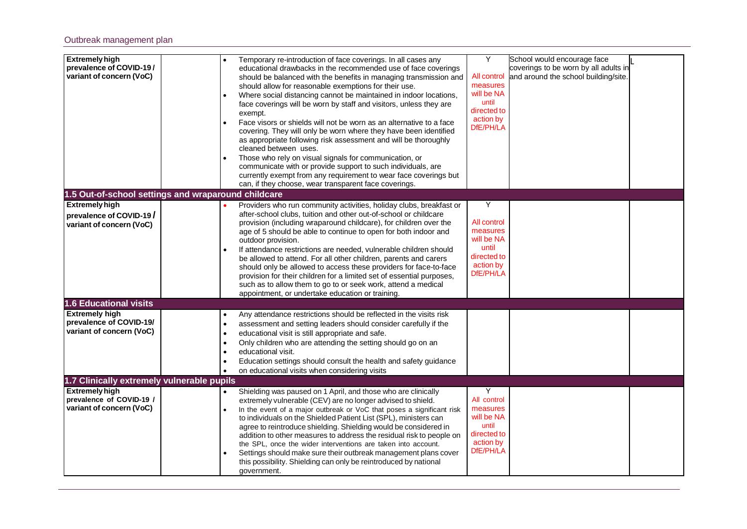|                                                                                 | Temporary re-introduction of face coverings. In all cases any<br>educational drawbacks in the recommended use of face coverings<br>should be balanced with the benefits in managing transmission and<br>should allow for reasonable exemptions for their use.<br>Where social distancing cannot be maintained in indoor locations,<br>face coverings will be worn by staff and visitors, unless they are<br>exempt.<br>Face visors or shields will not be worn as an alternative to a face<br>covering. They will only be worn where they have been identified<br>as appropriate following risk assessment and will be thoroughly<br>cleaned between uses.<br>Those who rely on visual signals for communication, or<br>communicate with or provide support to such individuals, are<br>currently exempt from any requirement to wear face coverings but<br>can, if they choose, wear transparent face coverings. | Y<br>All control<br>measures<br>will be NA<br>until<br>directed to<br>action by<br>DfE/PH/LA                     | School would encourage face<br>coverings to be worn by all adults in |                                      |
|---------------------------------------------------------------------------------|-------------------------------------------------------------------------------------------------------------------------------------------------------------------------------------------------------------------------------------------------------------------------------------------------------------------------------------------------------------------------------------------------------------------------------------------------------------------------------------------------------------------------------------------------------------------------------------------------------------------------------------------------------------------------------------------------------------------------------------------------------------------------------------------------------------------------------------------------------------------------------------------------------------------|------------------------------------------------------------------------------------------------------------------|----------------------------------------------------------------------|--------------------------------------|
|                                                                                 |                                                                                                                                                                                                                                                                                                                                                                                                                                                                                                                                                                                                                                                                                                                                                                                                                                                                                                                   |                                                                                                                  |                                                                      |                                      |
|                                                                                 | Providers who run community activities, holiday clubs, breakfast or<br>after-school clubs, tuition and other out-of-school or childcare<br>provision (including wraparound childcare), for children over the<br>age of 5 should be able to continue to open for both indoor and<br>outdoor provision.<br>If attendance restrictions are needed, vulnerable children should<br>be allowed to attend. For all other children, parents and carers<br>should only be allowed to access these providers for face-to-face<br>provision for their children for a limited set of essential purposes,<br>such as to allow them to go to or seek work, attend a medical<br>appointment, or undertake education or training.                                                                                                                                                                                                 | ٧<br>All control<br>measures<br>will be NA<br>until<br>directed to<br>action by<br>DfE/PH/LA                     |                                                                      |                                      |
|                                                                                 |                                                                                                                                                                                                                                                                                                                                                                                                                                                                                                                                                                                                                                                                                                                                                                                                                                                                                                                   |                                                                                                                  |                                                                      |                                      |
| $\bullet$<br>$\bullet$<br>$\bullet$<br>$\bullet$<br>٠<br>$\bullet$<br>$\bullet$ | Any attendance restrictions should be reflected in the visits risk<br>assessment and setting leaders should consider carefully if the<br>educational visit is still appropriate and safe.<br>Only children who are attending the setting should go on an<br>educational visit.<br>Education settings should consult the health and safety guidance<br>on educational visits when considering visits                                                                                                                                                                                                                                                                                                                                                                                                                                                                                                               |                                                                                                                  |                                                                      |                                      |
|                                                                                 |                                                                                                                                                                                                                                                                                                                                                                                                                                                                                                                                                                                                                                                                                                                                                                                                                                                                                                                   |                                                                                                                  |                                                                      |                                      |
|                                                                                 | Shielding was paused on 1 April, and those who are clinically<br>extremely vulnerable (CEV) are no longer advised to shield.<br>In the event of a major outbreak or VoC that poses a significant risk<br>to individuals on the Shielded Patient List (SPL), ministers can<br>agree to reintroduce shielding. Shielding would be considered in<br>addition to other measures to address the residual risk to people on<br>the SPL, once the wider interventions are taken into account.<br>Settings should make sure their outbreak management plans cover<br>this possibility. Shielding can only be reintroduced by national                                                                                                                                                                                                                                                                                     | Υ<br>All control<br>measures<br>will be NA<br>until<br>directed to<br>action by<br>DfE/PH/LA                     |                                                                      |                                      |
|                                                                                 |                                                                                                                                                                                                                                                                                                                                                                                                                                                                                                                                                                                                                                                                                                                                                                                                                                                                                                                   | 1.5 Out-of-school settings and wraparound childcare<br>1.7 Clinically extremely vulnerable pupils<br>government. |                                                                      | and around the school building/site. |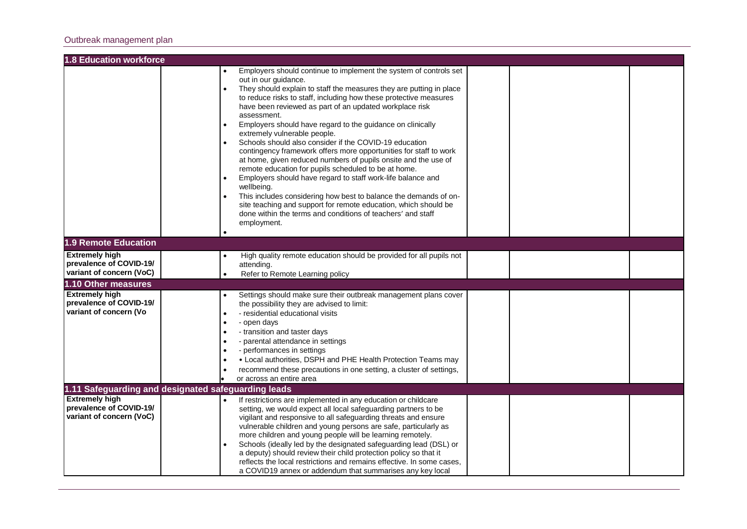#### Outbreak management plan

| <b>1.8 Education workforce</b>                      |           |                                                                                                                        |  |  |
|-----------------------------------------------------|-----------|------------------------------------------------------------------------------------------------------------------------|--|--|
|                                                     |           | Employers should continue to implement the system of controls set                                                      |  |  |
|                                                     |           | out in our guidance.                                                                                                   |  |  |
|                                                     |           | They should explain to staff the measures they are putting in place                                                    |  |  |
|                                                     |           | to reduce risks to staff, including how these protective measures                                                      |  |  |
|                                                     |           | have been reviewed as part of an updated workplace risk                                                                |  |  |
|                                                     |           | assessment.                                                                                                            |  |  |
|                                                     |           | Employers should have regard to the guidance on clinically                                                             |  |  |
|                                                     |           | extremely vulnerable people.                                                                                           |  |  |
|                                                     |           | Schools should also consider if the COVID-19 education                                                                 |  |  |
|                                                     |           | contingency framework offers more opportunities for staff to work                                                      |  |  |
|                                                     |           | at home, given reduced numbers of pupils onsite and the use of<br>remote education for pupils scheduled to be at home. |  |  |
|                                                     |           | Employers should have regard to staff work-life balance and                                                            |  |  |
|                                                     |           | wellbeing.                                                                                                             |  |  |
|                                                     |           | This includes considering how best to balance the demands of on-                                                       |  |  |
|                                                     |           | site teaching and support for remote education, which should be                                                        |  |  |
|                                                     |           | done within the terms and conditions of teachers' and staff                                                            |  |  |
|                                                     |           | employment.                                                                                                            |  |  |
|                                                     |           |                                                                                                                        |  |  |
| <b>1.9 Remote Education</b>                         |           |                                                                                                                        |  |  |
| <b>Extremely high</b>                               |           | High quality remote education should be provided for all pupils not                                                    |  |  |
| prevalence of COVID-19/                             |           | attending.                                                                                                             |  |  |
| variant of concern (VoC)                            |           | Refer to Remote Learning policy                                                                                        |  |  |
| 1.10 Other measures                                 |           |                                                                                                                        |  |  |
| <b>Extremely high</b>                               |           | Settings should make sure their outbreak management plans cover                                                        |  |  |
| prevalence of COVID-19/                             |           | the possibility they are advised to limit:                                                                             |  |  |
| variant of concern (Vo                              | $\bullet$ | - residential educational visits                                                                                       |  |  |
|                                                     |           | - open days                                                                                                            |  |  |
|                                                     | $\bullet$ | - transition and taster days                                                                                           |  |  |
|                                                     |           | - parental attendance in settings                                                                                      |  |  |
|                                                     |           | - performances in settings                                                                                             |  |  |
|                                                     |           | • Local authorities, DSPH and PHE Health Protection Teams may                                                          |  |  |
|                                                     |           | recommend these precautions in one setting, a cluster of settings,<br>or across an entire area                         |  |  |
| 1.11 Safeguarding and designated safeguarding leads |           |                                                                                                                        |  |  |
| <b>Extremely high</b>                               |           | If restrictions are implemented in any education or childcare                                                          |  |  |
| prevalence of COVID-19/                             |           | setting, we would expect all local safeguarding partners to be                                                         |  |  |
| variant of concern (VoC)                            |           | vigilant and responsive to all safeguarding threats and ensure                                                         |  |  |
|                                                     |           | vulnerable children and young persons are safe, particularly as                                                        |  |  |
|                                                     |           | more children and young people will be learning remotely.                                                              |  |  |
|                                                     |           | Schools (ideally led by the designated safeguarding lead (DSL) or                                                      |  |  |
|                                                     |           | a deputy) should review their child protection policy so that it                                                       |  |  |
|                                                     |           | reflects the local restrictions and remains effective. In some cases,                                                  |  |  |
|                                                     |           | a COVID19 annex or addendum that summarises any key local                                                              |  |  |